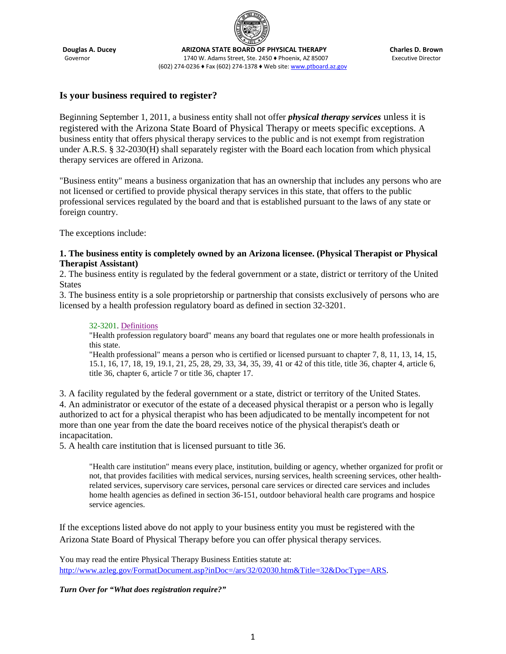

**Douglas A. Ducey Charles D. Brown<br>Governor Charles D. Brown 1740 W. Adams Street, Ste. 2450 • Phoenix, AZ 85007 Executive Director** 1740 W. Adams Street, Ste. 2450 • Phoenix, AZ 85007 (602) 274-0236 ♦ Fax (602) 274-1378 ♦ Web site[: www.ptboard.az.gov](http://www.ptboard.az.gov/)

### **Is your business required to register?**

Beginning September 1, 2011, a business entity shall not offer *physical therapy services* unless it is registered with the Arizona State Board of Physical Therapy or meets specific exceptions. A business entity that offers physical therapy services to the public and is not exempt from registration under A.R.S. § 32-2030(H) shall separately register with the Board each location from which physical therapy services are offered in Arizona.

"Business entity" means a business organization that has an ownership that includes any persons who are not licensed or certified to provide physical therapy services in this state, that offers to the public professional services regulated by the board and that is established pursuant to the laws of any state or foreign country.

The exceptions include:

### **1. The business entity is completely owned by an Arizona licensee. (Physical Therapist or Physical Therapist Assistant)**

2. The business entity is regulated by the federal government or a state, district or territory of the United **States** 

3. The business entity is a sole proprietorship or partnership that consists exclusively of persons who are licensed by a health profession regulatory board as defined in section 32-3201.

#### 32-3201. Definitions

"Health profession regulatory board" means any board that regulates one or more health professionals in this state.

"Health professional" means a person who is certified or licensed pursuant to chapter 7, 8, 11, 13, 14, 15, 15.1, 16, 17, 18, 19, 19.1, 21, 25, 28, 29, 33, 34, 35, 39, 41 or 42 of this title, title 36, chapter 4, article 6, title 36, chapter 6, article 7 or title 36, chapter 17.

3. A facility regulated by the federal government or a state, district or territory of the United States. 4. An administrator or executor of the estate of a deceased physical therapist or a person who is legally authorized to act for a physical therapist who has been adjudicated to be mentally incompetent for not more than one year from the date the board receives notice of the physical therapist's death or incapacitation.

5. A health care institution that is licensed pursuant to title 36.

"Health care institution" means every place, institution, building or agency, whether organized for profit or not, that provides facilities with medical services, nursing services, health screening services, other healthrelated services, supervisory care services, personal care services or directed care services and includes home health agencies as defined in section 36-151, outdoor behavioral health care programs and hospice service agencies.

If the exceptions listed above do not apply to your business entity you must be registered with the Arizona State Board of Physical Therapy before you can offer physical therapy services.

You may read the entire Physical Therapy Business Entities statute at: [http://www.azleg.gov/FormatDocument.asp?inDoc=/ars/32/02030.htm&Title=32&DocType=ARS.](http://www.azleg.gov/FormatDocument.asp?inDoc=/ars/32/02030.htm&Title=32&DocType=ARS)

*Turn Over for "What does registration require?"*